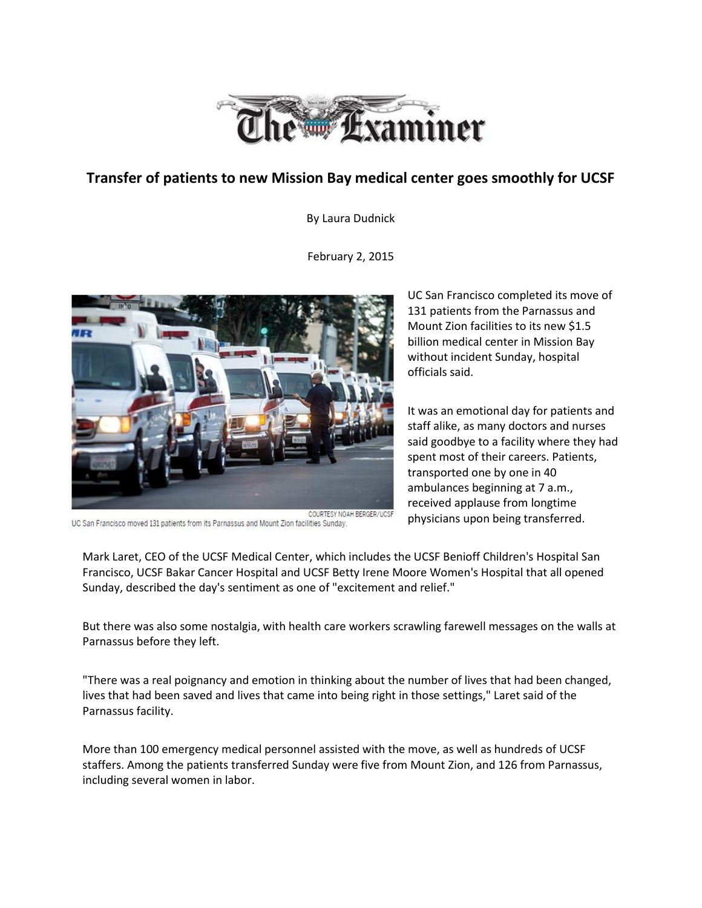

## **Transfer of patients to new Mission Bay medical center goes smoothly for UCSF**

By Laura Dudnick

February 2, 2015



COURTESY NOAH BERGER/UCSF UC San Francisco moved 131 patients from its Parnassus and Mount Zion facilities Sunday.

UC San Francisco completed its move of 131 patients from the Parnassus and Mount Zion facilities to its new \$1.5 billion medical center in Mission Bay without incident Sunday, hospital officials said.

It was an emotional day for patients and staff alike, as many doctors and nurses said goodbye to a facility where they had spent most of their careers. Patients, transported one by one in 40 ambulances beginning at 7 a.m., received applause from longtime physicians upon being transferred.

Mark Laret, CEO of the UCSF Medical Center, which includes the UCSF Benioff Children's Hospital San Francisco, UCSF Bakar Cancer Hospital and UCSF Betty Irene Moore Women's Hospital that all opened Sunday, described the day's sentiment as one of "excitement and relief."

But there was also some nostalgia, with health care workers scrawling farewell messages on the walls at Parnassus before they left.

"There was a real poignancy and emotion in thinking about the number of lives that had been changed, lives that had been saved and lives that came into being right in those settings," Laret said of the Parnassus facility.

More than 100 emergency medical personnel assisted with the move, as well as hundreds of UCSF staffers. Among the patients transferred Sunday were five from Mount Zion, and 126 from Parnassus, including several women in labor.